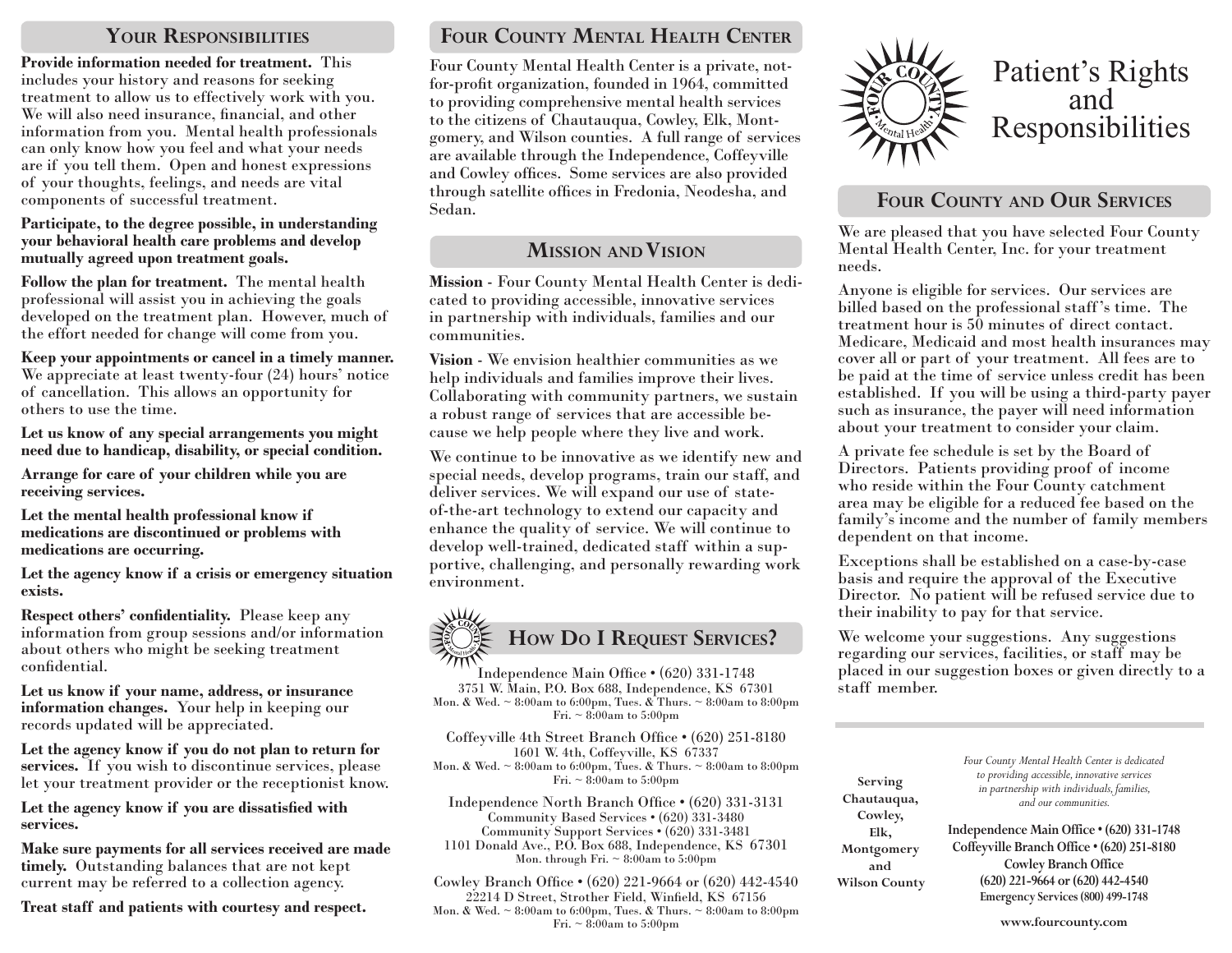## **Your Responsibilities**

**Provide information needed for treatment.** This includes your history and reasons for seeking treatment to allow us to effectively work with you. We will also need insurance, financial, and other information from you. Mental health professionals can only know how you feel and what your needs are if you tell them. Open and honest expressions of your thoughts, feelings, and needs are vital components of successful treatment.

#### **Participate, to the degree possible, in understanding your behavioral health care problems and develop mutually agreed upon treatment goals.**

**Follow the plan for treatment.** The mental health professional will assist you in achieving the goals developed on the treatment plan. However, much of the effort needed for change will come from you.

**Keep your appointments or cancel in a timely manner.** We appreciate at least twenty-four (24) hours' notice of cancellation. This allows an opportunity for others to use the time.

**Let us know of any special arrangements you might need due to handicap, disability, or special condition.**

**Arrange for care of your children while you are receiving services.**

**Let the mental health professional know if medications are discontinued or problems with medications are occurring.**

**Let the agency know if a crisis or emergency situation exists.**

**Respect others' confidentiality.** Please keep any information from group sessions and/or information about others who might be seeking treatment confidential.

**Let us know if your name, address, or insurance information changes.** Your help in keeping our records updated will be appreciated.

**Let the agency know if you do not plan to return for services.** If you wish to discontinue services, please let your treatment provider or the receptionist know.

**Let the agency know if you are dissatisfied with services.**

**Make sure payments for all services received are made timely.** Outstanding balances that are not kept current may be referred to a collection agency.

**Treat staff and patients with courtesy and respect.**

# **Four County Mental Health Center**

Four County Mental Health Center is a private, notfor-profit organization, founded in 1964, committed to providing comprehensive mental health services to the citizens of Chautauqua, Cowley, Elk, Montgomery, and Wilson counties. A full range of services are available through the Independence, Coffeyville and Cowley offices. Some services are also provided through satellite offices in Fredonia, Neodesha, and Sedan.

## **Mission and Vision**

**Mission** - Four County Mental Health Center is dedicated to providing accessible, innovative services in partnership with individuals, families and our communities.

**Vision** - We envision healthier communities as we help individuals and families improve their lives. Collaborating with community partners, we sustain a robust range of services that are accessible because we help people where they live and work.

We continue to be innovative as we identify new and special needs, develop programs, train our staff, and deliver services. We will expand our use of stateof-the-art technology to extend our capacity and enhance the quality of service. We will continue to develop well-trained, dedicated staff within a supportive, challenging, and personally rewarding work environment.



Independence Main Office • (620) 331-1748 3751 W. Main, P.O. Box 688, Independence, KS 67301 Mon. & Wed. ~ 8:00am to 6:00pm, Tues. & Thurs. ~ 8:00am to 8:00pm Fri.  $\sim 8:00$ am to 5:00pm

Coffeyville 4th Street Branch Office • (620) 251-8180 1601 W. 4th, Coffeyville, KS 67337 Mon. & Wed. ~ 8:00am to 6:00pm, Tues. & Thurs. ~ 8:00am to 8:00pm Fri.  $\sim 8:00$ am to 5:00pm

Independence North Branch Office • (620) 331-3131 Community Based Services • (620) 331-3480 Community Support Services • (620) 331-3481 1101 Donald Ave., P.O. Box 688, Independence, KS 67301 Mon. through Fri.  $\sim 8:00$ am to 5:00pm

Cowley Branch Office • (620) 221-9664 or (620) 442-4540 22214 D Street, Strother Field, Winfield, KS 67156 Mon. & Wed. ~ 8:00am to 6:00pm, Tues. & Thurs. ~ 8:00am to 8:00pm Fri.  $\sim 8:00$ am to 5:00pm



# **Four County and Our Services**

We are pleased that you have selected Four County Mental Health Center, Inc. for your treatment needs.

Anyone is eligible for services. Our services are billed based on the professional staff 's time. The treatment hour is 50 minutes of direct contact. Medicare, Medicaid and most health insurances may cover all or part of your treatment. All fees are to be paid at the time of service unless credit has been established. If you will be using a third-party payer such as insurance, the payer will need information about your treatment to consider your claim.

A private fee schedule is set by the Board of Directors. Patients providing proof of income who reside within the Four County catchment area may be eligible for a reduced fee based on the family's income and the number of family members dependent on that income.

Exceptions shall be established on a case-by-case basis and require the approval of the Executive Director. No patient will be refused service due to their inability to pay for that service.

We welcome your suggestions. Any suggestions regarding our services, facilities, or staff may be placed in our suggestion boxes or given directly to a staff member.

| Serving              | Four County Mental Health Center is dedicated<br>to providing accessible, innovative services |
|----------------------|-----------------------------------------------------------------------------------------------|
| Chautauqua,          | in partnership with individuals, families,<br>and our communities.                            |
| Cowley,<br>Elk,      | Independence Main Office . (620) 331-1748                                                     |
| Montgomery           | Coffeyville Branch Office . (620) 251-8180                                                    |
| and                  | Cowley Branch Office                                                                          |
| <b>Wilson County</b> | (620) 221-9664 or (620) 442-4540                                                              |
|                      | Emergency Services (800) 499-1748                                                             |
|                      | www.fourcounty.com                                                                            |